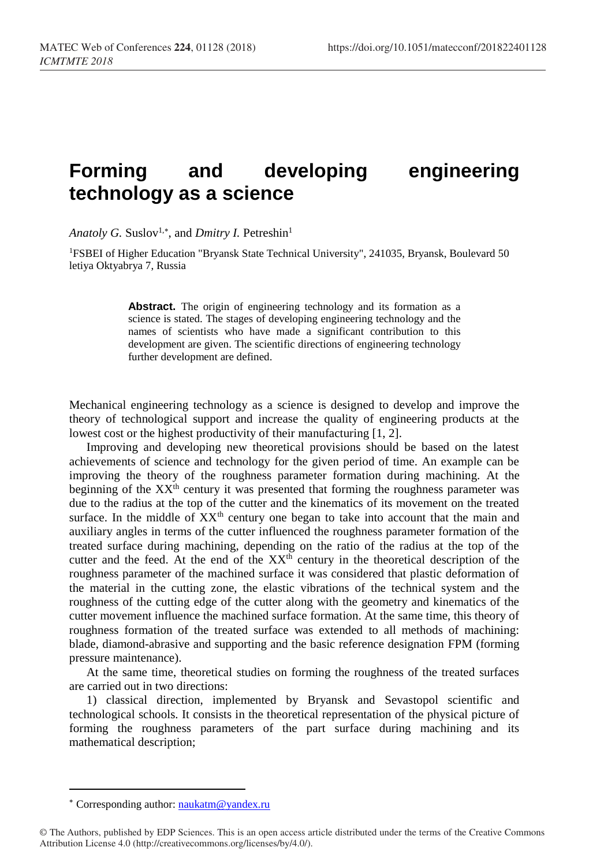## **Forming and developing engineering technology as a science**

Anatoly G. Suslov<sup>1,\*</sup>, and *Dmitry I*. Petreshin<sup>1</sup>

<sup>1</sup>FSBEI of Higher Education "Bryansk State Technical University", 241035, Bryansk, Boulevard 50 letiya Oktyabrya 7, Russia

> **Abstract.** The origin of engineering technology and its formation as a science is stated. The stages of developing engineering technology and the names of scientists who have made a significant contribution to this development are given. The scientific directions of engineering technology further development are defined.

Mechanical engineering technology as a science is designed to develop and improve the theory of technological support and increase the quality of engineering products at the lowest cost or the highest productivity of their manufacturing [1, 2].

Improving and developing new theoretical provisions should be based on the latest achievements of science and technology for the given period of time. An example can be improving the theory of the roughness parameter formation during machining. At the beginning of the  $XX<sup>th</sup>$  century it was presented that forming the roughness parameter was due to the radius at the top of the cutter and the kinematics of its movement on the treated surface. In the middle of  $XX<sup>th</sup>$  century one began to take into account that the main and auxiliary angles in terms of the cutter influenced the roughness parameter formation of the treated surface during machining, depending on the ratio of the radius at the top of the cutter and the feed. At the end of the XX<sup>th</sup> century in the theoretical description of the roughness parameter of the machined surface it was considered that plastic deformation of the material in the cutting zone, the elastic vibrations of the technical system and the roughness of the cutting edge of the cutter along with the geometry and kinematics of the cutter movement influence the machined surface formation. At the same time, this theory of roughness formation of the treated surface was extended to all methods of machining: blade, diamond-abrasive and supporting and the basic reference designation FPM (forming pressure maintenance).

At the same time, theoretical studies on forming the roughness of the treated surfaces are carried out in two directions:

1) classical direction, implemented by Bryansk and Sevastopol scientific and technological schools. It consists in the theoretical representation of the physical picture of forming the roughness parameters of the part surface during machining and its mathematical description;

 $\overline{a}$ 

<sup>\*</sup> Corresponding author: [naukatm@yandex.ru](mailto:naukatm@yandex.ru)

<sup>©</sup> The Authors, published by EDP Sciences. This is an open access article distributed under the terms of the Creative Commons Attribution License 4.0 (http://creativecommons.org/licenses/by/4.0/).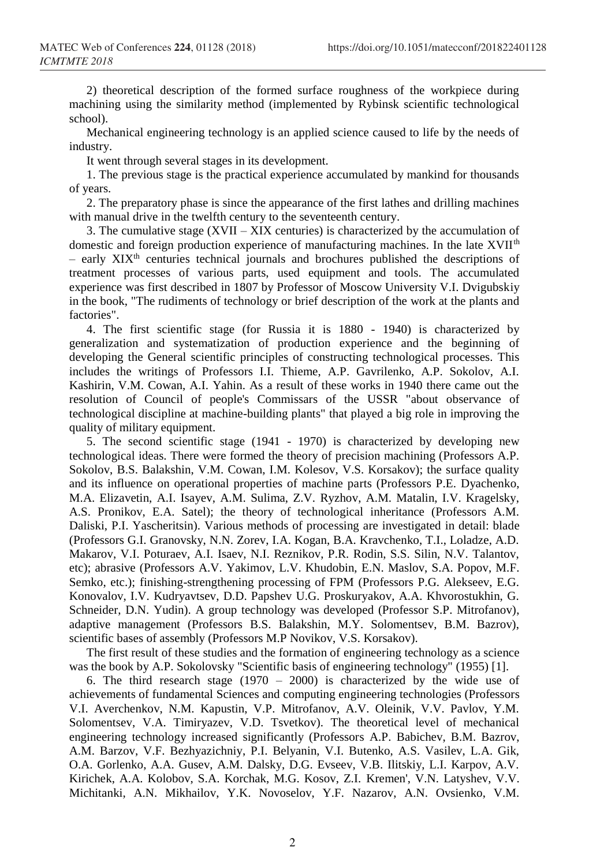2) theoretical description of the formed surface roughness of the workpiece during machining using the similarity method (implemented by Rybinsk scientific technological school).

Mechanical engineering technology is an applied science caused to life by the needs of industry.

It went through several stages in its development.

1. The previous stage is the practical experience accumulated by mankind for thousands of years.

2. The preparatory phase is since the appearance of the first lathes and drilling machines with manual drive in the twelfth century to the seventeenth century.

3. The cumulative stage  $(XVII - XIX)$  centuries) is characterized by the accumulation of domestic and foreign production experience of manufacturing machines. In the late XVII<sup>th</sup> – early XIXth centuries technical journals and brochures published the descriptions of treatment processes of various parts, used equipment and tools. The accumulated experience was first described in 1807 by Professor of Moscow University V.I. Dvigubskiy in the book, "The rudiments of technology or brief description of the work at the plants and factories".

4. The first scientific stage (for Russia it is 1880 - 1940) is characterized by generalization and systematization of production experience and the beginning of developing the General scientific principles of constructing technological processes. This includes the writings of Professors I.I. Thieme, A.P. Gavrilenko, A.P. Sokolov, A.I. Kashirin, V.M. Cowan, A.I. Yahin. As a result of these works in 1940 there came out the resolution of Council of people's Commissars of the USSR "about observance of technological discipline at machine-building plants" that played a big role in improving the quality of military equipment.

5. The second scientific stage (1941 - 1970) is characterized by developing new technological ideas. There were formed the theory of precision machining (Professors A.P. Sokolov, B.S. Balakshin, V.M. Cowan, I.M. Kolesov, V.S. Korsakov); the surface quality and its influence on operational properties of machine parts (Professors P.E. Dyachenko, M.A. Elizavetin, A.I. Isayev, A.M. Sulima, Z.V. Ryzhov, A.M. Matalin, I.V. Kragelsky, A.S. Pronikov, E.A. Satel); the theory of technological inheritance (Professors A.M. Daliski, P.I. Yascheritsin). Various methods of processing are investigated in detail: blade (Professors G.I. Granovsky, N.N. Zorev, I.A. Kogan, B.A. Kravchenko, T.I., Loladze, A.D. Makarov, V.I. Poturaev, A.I. Isaev, N.I. Reznikov, P.R. Rodin, S.S. Silin, N.V. Talantov, etc); abrasive (Professors A.V. Yakimov, L.V. Khudobin, E.N. Maslov, S.A. Popov, M.F. Semko, etc.); finishing-strengthening processing of FPM (Professors P.G. Alekseev, E.G. Konovalov, I.V. Kudryavtsev, D.D. Papshev U.G. Proskuryakov, A.A. Khvorostukhin, G. Schneider, D.N. Yudin). A group technology was developed (Professor S.P. Mitrofanov), adaptive management (Professors B.S. Balakshin, M.Y. Solomentsev, B.M. Bazrov), scientific bases of assembly (Professors M.P Novikov, V.S. Korsakov).

The first result of these studies and the formation of engineering technology as a science was the book by A.P. Sokolovsky "Scientific basis of engineering technology" (1955) [1].

6. The third research stage (1970 – 2000) is characterized by the wide use of achievements of fundamental Sciences and computing engineering technologies (Professors V.I. Averchenkov, N.M. Kapustin, V.P. Mitrofanov, A.V. Oleinik, V.V. Pavlov, Y.M. Solomentsev, V.A. Timiryazev, V.D. Tsvetkov). The theoretical level of mechanical engineering technology increased significantly (Professors A.P. Babichev, B.M. Bazrov, A.M. Barzov, V.F. Bezhyazichniy, P.I. Belyanin, V.I. Butenko, A.S. Vasilev, L.A. Gik, O.A. Gorlenko, A.A. Gusev, A.M. Dalsky, D.G. Evseev, V.B. Ilitskiy, L.I. Karpov, A.V. Kirichek, A.A. Kolobov, S.A. Korchak, M.G. Kosov, Z.I. Kremen', V.N. Latyshev, V.V. Michitanki, A.N. Mikhailov, Y.K. Novoselov, Y.F. Nazarov, A.N. Ovsienko, V.M.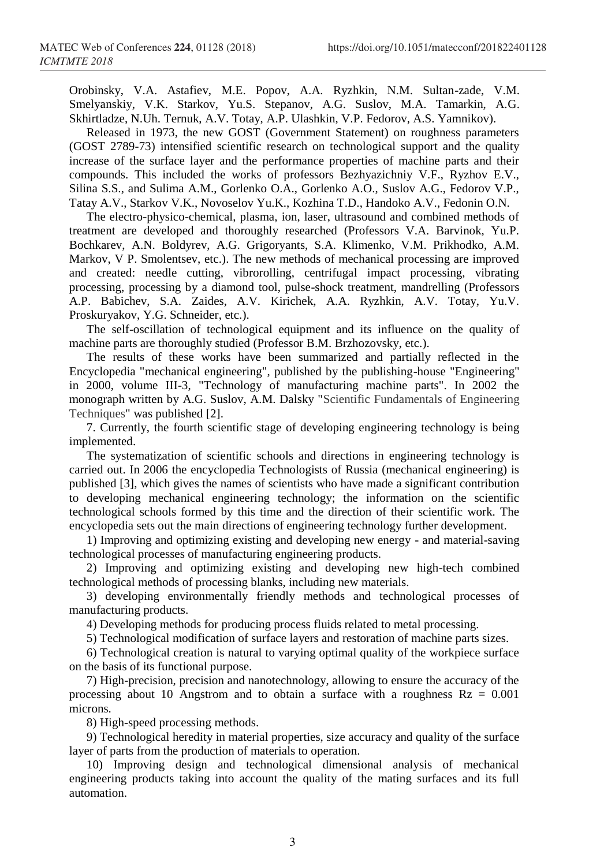Orobinsky, V.A. Astafiev, M.E. Popov, A.A. Ryzhkin, N.M. Sultan-zade, V.M. Smelyanskiy, V.K. Starkov, Yu.S. Stepanov, A.G. Suslov, M.A. Tamarkin, A.G. Skhirtladze, N.Uh. Ternuk, A.V. Totay, A.P. Ulashkin, V.P. Fedorov, A.S. Yamnikov).

Released in 1973, the new GOST (Government Statement) on roughness parameters (GOST 2789-73) intensified scientific research on technological support and the quality increase of the surface layer and the performance properties of machine parts and their compounds. This included the works of professors Bezhyazichniy V.F., Ryzhov E.V., Silina S.S., and Sulima A.M., Gorlenko O.A., Gorlenko A.O., Suslov A.G., Fedorov V.P., Tatay A.V., Starkov V.K., Novoselov Yu.K., Kozhina T.D., Handoko A.V., Fedonin O.N.

The electro-physico-chemical, plasma, ion, laser, ultrasound and combined methods of treatment are developed and thoroughly researched (Professors V.A. Barvinok, Yu.P. Bochkarev, A.N. Boldyrev, A.G. Grigoryants, S.A. Klimenko, V.M. Prikhodko, A.M. Markov, V P. Smolentsev, etc.). The new methods of mechanical processing are improved and created: needle cutting, vibrorolling, centrifugal impact processing, vibrating processing, processing by a diamond tool, pulse-shock treatment, mandrelling (Professors A.P. Babichev, S.A. Zaides, A.V. Kirichek, A.A. Ryzhkin, A.V. Totay, Yu.V. Proskuryakov, Y.G. Schneider, etc.).

The self-oscillation of technological equipment and its influence on the quality of machine parts are thoroughly studied (Professor B.M. Brzhozovsky, etc.).

The results of these works have been summarized and partially reflected in the Encyclopedia "mechanical engineering", published by the publishing-house "Engineering" in 2000, volume III-3, "Technology of manufacturing machine parts". In 2002 the monograph written by A.G. Suslov, A.M. Dalsky "Scientific Fundamentals of Engineering Techniques" was published [2].

7. Currently, the fourth scientific stage of developing engineering technology is being implemented.

The systematization of scientific schools and directions in engineering technology is carried out. In 2006 the encyclopedia Technologists of Russia (mechanical engineering) is published [3], which gives the names of scientists who have made a significant contribution to developing mechanical engineering technology; the information on the scientific technological schools formed by this time and the direction of their scientific work. The encyclopedia sets out the main directions of engineering technology further development.

1) Improving and optimizing existing and developing new energy - and material-saving technological processes of manufacturing engineering products.

2) Improving and optimizing existing and developing new high-tech combined technological methods of processing blanks, including new materials.

3) developing environmentally friendly methods and technological processes of manufacturing products.

4) Developing methods for producing process fluids related to metal processing.

5) Technological modification of surface layers and restoration of machine parts sizes.

6) Technological creation is natural to varying optimal quality of the workpiece surface on the basis of its functional purpose.

7) High-precision, precision and nanotechnology, allowing to ensure the accuracy of the processing about 10 Angstrom and to obtain a surface with a roughness  $Rz = 0.001$ microns.

8) High-speed processing methods.

9) Technological heredity in material properties, size accuracy and quality of the surface layer of parts from the production of materials to operation.

10) Improving design and technological dimensional analysis of mechanical engineering products taking into account the quality of the mating surfaces and its full automation.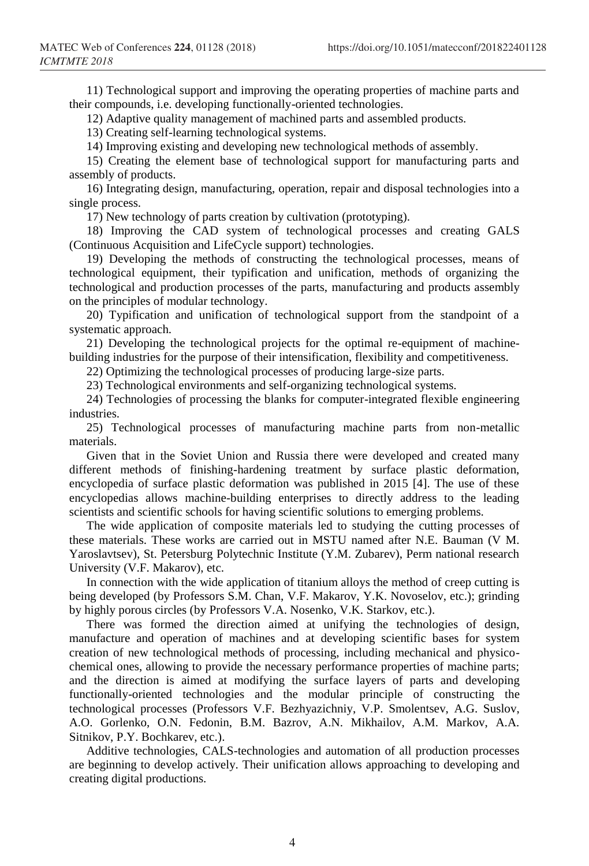11) Technological support and improving the operating properties of machine parts and their compounds, i.e. developing functionally-oriented technologies.

12) Adaptive quality management of machined parts and assembled products.

13) Creating self-learning technological systems.

14) Improving existing and developing new technological methods of assembly.

15) Creating the element base of technological support for manufacturing parts and assembly of products.

16) Integrating design, manufacturing, operation, repair and disposal technologies into a single process.

17) New technology of parts creation by cultivation (prototyping).

18) Improving the CAD system of technological processes and creating GALS (Continuous Acquisition and LifeCycle support) technologies.

19) Developing the methods of constructing the technological processes, means of technological equipment, their typification and unification, methods of organizing the technological and production processes of the parts, manufacturing and products assembly on the principles of modular technology.

20) Typification and unification of technological support from the standpoint of a systematic approach.

21) Developing the technological projects for the optimal re-equipment of machinebuilding industries for the purpose of their intensification, flexibility and competitiveness.

22) Optimizing the technological processes of producing large-size parts.

23) Technological environments and self-organizing technological systems.

24) Technologies of processing the blanks for computer-integrated flexible engineering industries.

25) Technological processes of manufacturing machine parts from non-metallic materials.

Given that in the Soviet Union and Russia there were developed and created many different methods of finishing-hardening treatment by surface plastic deformation, encyclopedia of surface plastic deformation was published in 2015 [4]. The use of these encyclopedias allows machine-building enterprises to directly address to the leading scientists and scientific schools for having scientific solutions to emerging problems.

The wide application of composite materials led to studying the cutting processes of these materials. These works are carried out in MSTU named after N.E. Bauman (V M. Yaroslavtsev), St. Petersburg Polytechnic Institute (Y.M. Zubarev), Perm national research University (V.F. Makarov), etc.

In connection with the wide application of titanium alloys the method of creep cutting is being developed (by Professors S.M. Chan, V.F. Makarov, Y.K. Novoselov, etc.); grinding by highly porous circles (by Professors V.A. Nosenko, V.K. Starkov, etc.).

There was formed the direction aimed at unifying the technologies of design, manufacture and operation of machines and at developing scientific bases for system creation of new technological methods of processing, including mechanical and physicochemical ones, allowing to provide the necessary performance properties of machine parts; and the direction is aimed at modifying the surface layers of parts and developing functionally-oriented technologies and the modular principle of constructing the technological processes (Professors V.F. Bezhyazichniy, V.P. Smolentsev, A.G. Suslov, A.O. Gorlenko, O.N. Fedonin, B.M. Bazrov, A.N. Mikhailov, A.M. Markov, A.A. Sitnikov, P.Y. Bochkarev, etc.).

Additive technologies, CALS-technologies and automation of all production processes are beginning to develop actively. Their unification allows approaching to developing and creating digital productions.